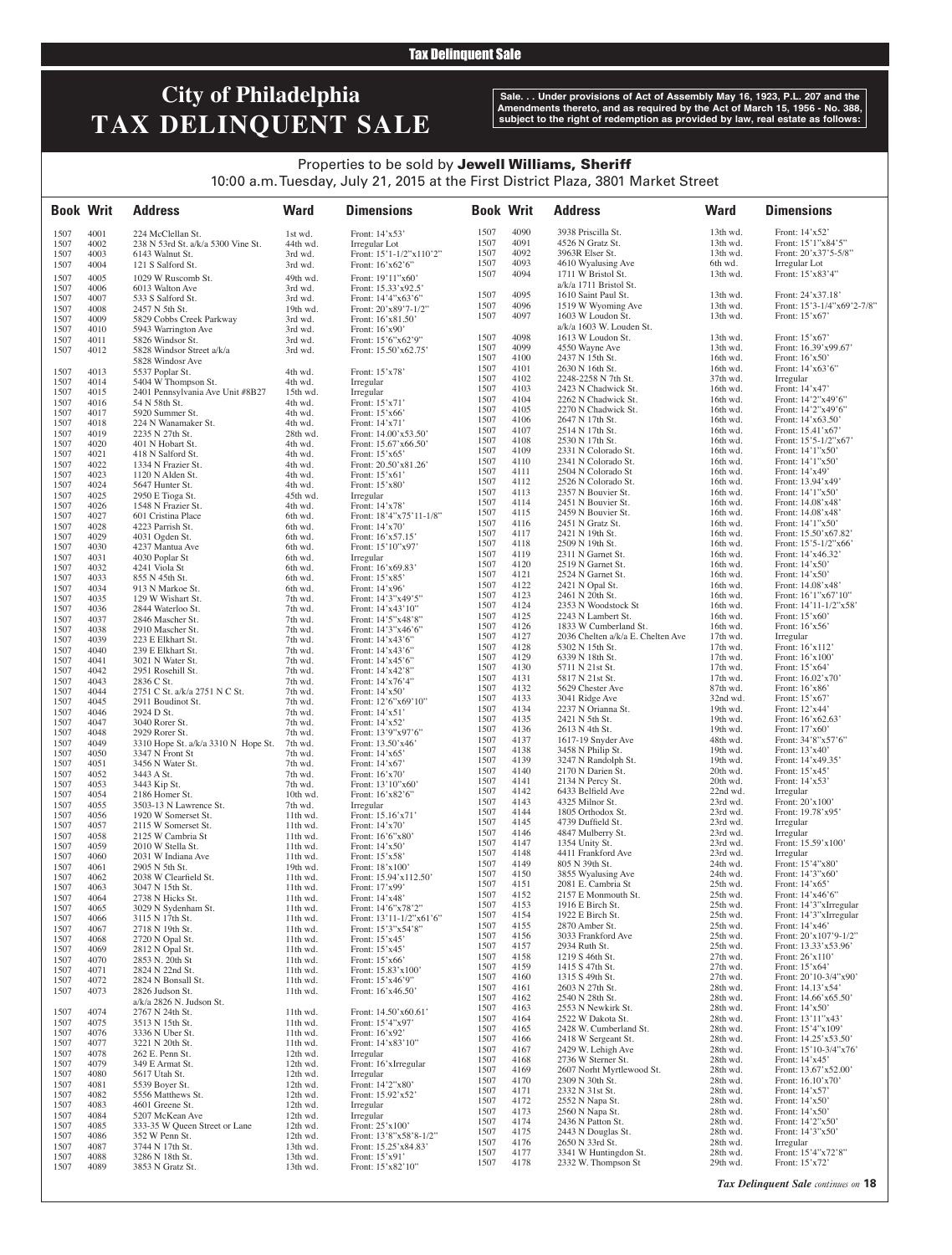**Tax Delinquent Sale** 

# **City of Philadelphia TAX DELINQUENT SALE**

**Sale. . . Under provisions of Act of Assembly May 16, 1923, P.L. 207 and the Amendments thereto, and as required by the Act of March 15, 1956 - No. 388, subject to the right of redemption as provided by law, real estate as follows:**

### Properties to be sold by Jewell Williams, Sheriff 10:00 a.m. Tuesday, July 21, 2015 at the First District Plaza, 3801 Market Street

| <b>Book Writ</b> |              | <b>Address</b>                                    | <b>Ward</b>          | <b>Dimensions</b>                           | <b>Book Writ</b> |              | <b>Address</b>                                             | <b>Ward</b>            | <b>Dimensions</b>                              |
|------------------|--------------|---------------------------------------------------|----------------------|---------------------------------------------|------------------|--------------|------------------------------------------------------------|------------------------|------------------------------------------------|
| 1507             | 4001         | 224 McClellan St.                                 | 1st wd.              | Front: 14'x53'                              | 1507             | 4090         | 3938 Priscilla St.                                         | 13th wd.               | Front: 14'x52'                                 |
| 1507             | 4002         | 238 N 53rd St. a/k/a 5300 Vine St.                | 44th wd.             | Irregular Lot                               | 1507             | 4091         | 4526 N Gratz St.                                           | 13th wd.               | Front: 15'1"x84'5"                             |
| 1507<br>1507     | 4003<br>4004 | 6143 Walnut St.<br>121 S Salford St.              | 3rd wd.<br>3rd wd.   | Front: 15'1-1/2"x110'2"<br>Front: 16'x62'6" | 1507<br>1507     | 4092<br>4093 | 3963R Elser St.<br>4610 Wyalusing Ave                      | 13th wd.<br>6th wd.    | Front: 20'x37'5-5/8"<br>Irregular Lot          |
| 1507             | 4005         | 1029 W Ruscomb St.                                | 49th wd.             | Front: 19'11"x60'                           | 1507             | 4094         | 1711 W Bristol St.                                         | 13th wd.               | Front: 15'x83'4"                               |
| 1507             | 4006         | 6013 Walton Ave                                   | 3rd wd.              | Front: 15.33'x92.5'                         |                  |              | a/k/a 1711 Bristol St.                                     |                        |                                                |
| 1507             | 4007         | 533 S Salford St.                                 | 3rd wd.              | Front: 14'4"x63'6"                          | 1507             | 4095         | 1610 Saint Paul St.                                        | 13th wd.               | Front: 24'x37.18'                              |
| 1507             | 4008         | 2457 N 5th St.                                    | 19th wd.             | Front: 20'x89'7-1/2"                        | 1507<br>1507     | 4096<br>4097 | 1519 W Wyoming Ave<br>1603 W Loudon St.                    | 13th wd.<br>13th wd.   | Front: 15'3-1/4"x69'2-7/8"<br>Front: 15'x67'   |
| 1507             | 4009         | 5829 Cobbs Creek Parkway                          | 3rd wd.              | Front: 16'x81.50'                           |                  |              | a/k/a 1603 W. Louden St.                                   |                        |                                                |
| 1507<br>1507     | 4010<br>4011 | 5943 Warrington Ave<br>5826 Windsor St.           | 3rd wd.<br>3rd wd.   | Front: 16'x90'<br>Front: 15'6"x62'9"        | 1507             | 4098         | 1613 W Loudon St.                                          | 13th wd.               | Front: $15'x67'$                               |
| 1507             | 4012         | 5828 Windsor Street a/k/a                         | 3rd wd.              | Front: 15.50'x62.75'                        | 1507             | 4099         | 4550 Wayne Ave                                             | 13th wd.               | Front: 16.39'x99.67'                           |
|                  |              | 5828 Windosr Ave                                  |                      |                                             | 1507             | 4100         | 2437 N 15th St.                                            | 16th wd.               | Front: 16'x50'                                 |
| 1507             | 4013         | 5537 Poplar St.                                   | 4th wd.              | Front: 15'x78'                              | 1507<br>1507     | 4101<br>4102 | 2630 N 16th St.<br>2248-2258 N 7th St.                     | 16th wd.<br>37th wd.   | Front: 14'x63'6"<br>Irregular                  |
| 1507             | 4014         | 5404 W Thompson St.                               | 4th wd.              | Irregular                                   | 1507             | 4103         | 2423 N Chadwick St.                                        | 16th wd.               | Front: 14'x47'                                 |
| 1507<br>1507     | 4015<br>4016 | 2401 Pennsylvania Ave Unit #8B27<br>54 N 58th St. | 15th wd.<br>4th wd.  | Irregular<br>Front: 15'x71'                 | 1507             | 4104         | 2262 N Chadwick St.                                        | 16th wd.               | Front: 14'2"x49'6"                             |
| 1507             | 4017         | 5920 Summer St.                                   | 4th wd.              | Front: 15'x66'                              | 1507             | 4105         | 2270 N Chadwick St.                                        | 16th wd.               | Front: 14'2"x49'6"                             |
| 1507             | 4018         | 224 N Wanamaker St.                               | 4th wd.              | Front: 14'x71'                              | 1507             | 4106         | 2647 N 17th St.                                            | $16th$ wd.             | Front: 14'x63.50'                              |
| 1507             | 4019         | 2235 N 27th St.                                   | 28th wd.             | Front: 14.00'x53.50'                        | 1507<br>1507     | 4107<br>4108 | 2514 N 17th St.<br>2530 N 17th St.                         | 16th wd.<br>16th wd.   | Front: 15.41'x67'<br>Front: $15'5 - 1/2''x67'$ |
| 1507             | 4020         | 401 N Hobart St.                                  | 4th wd.              | Front: 15.67'x66.50'                        | 1507             | 4109         | 2331 N Colorado St.                                        | 16th wd.               | Front: 14'1"x50'                               |
| 1507<br>1507     | 4021<br>4022 | 418 N Salford St.<br>1334 N Frazier St.           | 4th wd.<br>4th wd.   | Front: $15'x65'$<br>Front: 20.50'x81.26'    | 1507             | 4110         | 2341 N Colorado St.                                        | 16th wd.               | Front: 14'1"x50'                               |
| 1507             | 4023         | 1120 N Alden St.                                  | 4th wd.              | Front: 15'x61'                              | 1507             | 4111         | 2504 N Colorado St                                         | 16th wd.               | Front: 14'x49'                                 |
| 1507             | 4024         | 5647 Hunter St.                                   | 4th wd.              | Front: 15'x80'                              | 1507             | 4112         | 2526 N Colorado St.                                        | 16th wd.               | Front: 13.94'x49'                              |
| 1507             | 4025         | 2950 E Tioga St.                                  | 45th wd.             | Irregular                                   | 1507<br>1507     | 4113<br>4114 | 2357 N Bouvier St.<br>2451 N Bouvier St.                   | 16th wd.<br>16th wd.   | Front: 14'1"x50'<br>Front: 14.08'x48'          |
| 1507             | 4026         | 1548 N Frazier St.                                | 4th wd.              | Front: 14'x78'                              | 1507             | 4115         | 2459 N Bouvier St.                                         | 16th wd.               | Front: 14.08'x48'                              |
| 1507<br>1507     | 4027<br>4028 | 601 Cristina Place<br>4223 Parrish St.            | 6th wd.<br>6th wd.   | Front: 18'4"x75'11-1/8"<br>Front: 14'x70'   | 1507             | 4116         | 2451 N Gratz St.                                           | 16th wd.               | Front: 14'1"x50'                               |
| 1507             | 4029         | 4031 Ogden St.                                    | 6th wd.              | Front: 16'x57.15'                           | 1507             | 4117         | 2421 N 19th St.                                            | 16th wd.               | Front: 15.50'x67.82'                           |
| 1507             | 4030         | 4237 Mantua Ave                                   | 6th wd.              | Front: 15'10"x97'                           | 1507             | 4118         | 2509 N 19th St.                                            | 16th wd.               | Front: $15'5 - 1/2''x66'$                      |
| 1507             | 4031         | 4030 Poplar St                                    | 6th wd.              | Irregular                                   | 1507             | 4119<br>4120 | 2311 N Garnet St.                                          | 16th wd.               | Front: 14'x46.32'                              |
| 1507             | 4032         | 4241 Viola St                                     | 6th wd.              | Front: 16'x69.83'                           | 1507<br>1507     | 4121         | 2519 N Garnet St.<br>2524 N Garnet St.                     | 16th wd.<br>16th wd.   | Front: 14'x50'<br>Front: 14'x50'               |
| 1507<br>1507     | 4033<br>4034 | 855 N 45th St.<br>913 N Markoe St.                | 6th wd.<br>6th wd.   | Front: 15'x85'<br>Front: 14'x96'            | 1507             | 4122         | 2421 N Opal St.                                            | 16th wd.               | Front: 14.08'x48'                              |
| 1507             | 4035         | 129 W Wishart St.                                 | 7th wd.              | Front: 14'3"x49'5"                          | 1507             | 4123         | 2461 N 20th St.                                            | 16th wd.               | Front: 16'1"x67'10"                            |
| 1507             | 4036         | 2844 Waterloo St.                                 | 7th wd.              | Front: 14'x43'10"                           | 1507             | 4124         | 2353 N Woodstock St                                        | 16th wd.               | Front: 14'11-1/2"x58'                          |
| 1507             | 4037         | 2846 Mascher St.                                  | 7th wd.              | Front: 14'5"x48'8"                          | 1507             | 4125         | 2243 N Lambert St.                                         | 16th wd.               | Front: 15'x60'                                 |
| 1507             | 4038         | 2910 Mascher St.                                  | 7th wd.              | Front: 14'3"x46'6"                          | 1507<br>1507     | 4126<br>4127 | 1833 W Cumberland St.<br>2036 Chelten a/k/a E. Chelten Ave | 16th wd.<br>$17th$ wd. | Front: 16'x56'<br>Irregular                    |
| 1507<br>1507     | 4039<br>4040 | 223 E Elkhart St.<br>239 E Elkhart St.            | 7th wd.<br>7th wd.   | Front: 14'x43'6"<br>Front: 14'x43'6"        | 1507             | 4128         | 5302 N 15th St.                                            | $17th$ wd.             | Front: 16'x112'                                |
| 1507             | 4041         | 3021 N Water St.                                  | 7th wd.              | Front: 14'x45'6"                            | 1507             | 4129         | 6339 N 18th St.                                            | $17th$ wd.             | Front: 16'x100'                                |
| 1507             | 4042         | 2951 Rosehill St.                                 | 7th wd.              | Front: 14'x42'8"                            | 1507             | 4130         | 5711 N 21st St.                                            | $17th$ wd.             | Front: $15'x64'$                               |
| 1507             | 4043         | 2836 C St.                                        | 7th wd.              | Front: 14'x76'4"                            | 1507<br>1507     | 4131<br>4132 | 5817 N 21st St.                                            | $17th$ wd.             | Front: 16.02'x70'<br>Front: 16'x86'            |
| 1507             | 4044         | 2751 C St. a/k/a 2751 N C St.                     | 7th wd.              | Front: 14'x50'                              | 1507             | 4133         | 5629 Chester Ave<br>3041 Ridge Ave                         | 87th wd.<br>32nd wd.   | Front: $15'x67'$                               |
| 1507             | 4045<br>4046 | 2911 Boudinot St.<br>2924 D St.                   | 7th wd.              | Front: 12'6"x69'10"                         | 1507             | 4134         | 2237 N Orianna St.                                         | 19th wd.               | Front: 12'x44'                                 |
| 1507<br>1507     | 4047         | 3040 Rorer St.                                    | 7th wd.<br>7th wd.   | Front: 14'x51<br>Front: 14'x52'             | 1507             | 4135         | 2421 N 5th St.                                             | 19th wd.               | Front: 16'x62.63'                              |
| 1507             | 4048         | 2929 Rorer St.                                    | 7th wd.              | Front: 13'9"x97'6"                          | 1507             | 4136         | 2613 N 4th St.                                             | 19th wd.               | Front: 17'x60'                                 |
| 1507             | 4049         | 3310 Hope St. a/k/a 3310 N Hope St.               | 7th wd.              | Front: 13.50'x46'                           | 1507<br>1507     | 4137<br>4138 | 1617-19 Snyder Ave<br>3458 N Philip St.                    | 48th wd.<br>19th wd.   | Front: 34'8"x57'6"<br>Front: 13'x40'           |
| 1507<br>1507     | 4050<br>4051 | 3347 N Front St<br>3456 N Water St.               | 7th wd.<br>7th wd.   | Front: 14'x65'<br>Front: 14'x67'            | 1507             | 4139         | 3247 N Randolph St.                                        | 19th wd.               | Front: 14'x49.35'                              |
| 1507             | 4052         | 3443 A St.                                        | 7th wd.              | Front: 16'x70'                              | 1507             | 4140         | 2170 N Darien St.                                          | 20th wd.               | Front: 15'x45'                                 |
| 1507             | 4053         | 3443 Kip St.                                      | 7th wd.              | Front: 13'10"x60'                           | 1507             | 4141         | 2134 N Percy St.                                           | 20th wd.               | Front: 14'x53'                                 |
| 1507             | 4054         | 2186 Homer St.                                    | 10th wd.             | Front: 16'x82'6"                            | 1507             | 4142         | 6433 Belfield Ave                                          | 22nd wd.               | Irregular                                      |
| 1507             | 4055         | 3503-13 N Lawrence St.                            | 7th wd.              | Irregular                                   | 1507<br>1507     | 4143<br>4144 | 4325 Milnor St.<br>1805 Orthodox St.                       | 23rd wd.<br>23rd wd.   | Front: 20'x100'<br>Front: 19.78'x95'           |
| 1507<br>1507     | 4056<br>4057 | 1920 W Somerset St.<br>2115 W Somerset St.        | 11th wd.<br>11th wd. | Front: 15.16'x71'<br>Front: 14'x70'         | 1507             | 4145         | 4739 Duffield St.                                          | 23rd wd.               | Irregular                                      |
| 1507             | 4058         | 2125 W Cambria St                                 | 11th wd.             | Front: 16'6"x80"                            | 1507             | 4146         | 4847 Mulberry St.                                          | 23rd wd.               | Irregular                                      |
| 1507             | 4059         | 2010 W Stella St.                                 | 11th wd.             | Front: 14'x50'                              | 1507             | 4147         | 1354 Unity St.                                             | 23rd wd.               | Front: 15.59'x100'                             |
| 1507             | 4060         | 2031 W Indiana Ave                                | 11th wd.             | Front: 15'x58'                              | 1507<br>1507     | 4148<br>4149 | 4411 Frankford Ave<br>805 N 39th St.                       | 23rd wd.<br>24th wd.   | Irregular<br>Front: 15'4"x80'                  |
| 1507             | 4061         | 2905 N 5th St.                                    | 19th wd.             | Front: 18'x100'                             | 1507             | 4150         | 3855 Wyalusing Ave                                         | 24th wd.               | Front: 14'3"x60'                               |
| 1507<br>1507     | 4062<br>4063 | 2038 W Clearfield St.<br>3047 N 15th St.          | 11th wd.<br>11th wd. | Front: 15.94'x112.50'<br>Front: 17'x99'     | 1507             | 4151         | 2081 E. Cambria St                                         | 25th wd.               | Front: 14'x65'                                 |
| 1507             | 4064         | 2738 N Hicks St.                                  | 11th wd.             | Front: 14'x48'                              | 1507             | 4152         | 2157 E Monmouth St.                                        | 25th wd.               | Front: 14'x46'6"                               |
| 1507             | 4065         | 3029 N Sydenham St.                               | 11th wd.             | Front: 14'6"x78'2"                          | 1507             | 4153         | 1916 E Birch St.                                           | 25th wd.               | Front: 14'3"xIrregular                         |
| 1507             | 4066         | 3115 N 17th St.                                   | 11th wd.             | Front: $13'11-1/2''x61'6''$                 | 1507<br>1507     | 4154<br>4155 | 1922 E Birch St.<br>2870 Amber St.                         | 25th wd.<br>25th wd.   | Front: 14'3"xIrregular<br>Front: $14'x46'$     |
| 1507             | 4067<br>4068 | 2718 N 19th St.                                   | 11th wd.             | Front: 15'3"x54'8"                          | 1507             | 4156         | 3033 Frankford Ave                                         | 25th wd.               | Front: $20'x107'9-1/2"$                        |
| 1507<br>1507     | 4069         | 2720 N Opal St.<br>2812 N Opal St.                | 11th wd.<br>11th wd. | Front: 15'x45'<br>Front: 15'x45'            | 1507             | 4157         | 2934 Ruth St.                                              | 25th wd.               | Front: 13.33'x53.96'                           |
| 1507             | 4070         | 2853 N. 20th St                                   | 11th wd.             | Front: 15'x66'                              | 1507             | 4158         | 1219 S 46th St.                                            | 27th wd.               | Front: 26'x110'                                |
| 1507             | 4071         | 2824 N 22nd St.                                   | 11th wd.             | Front: 15.83'x100'                          | 1507             | 4159         | 1415 S 47th St.                                            | 27th wd.               | Front: 15'x64'                                 |
| 1507             | 4072         | 2824 N Bonsall St.                                | 11th wd.             | Front: 15'x46'9"                            | 1507<br>1507     | 4160<br>4161 | 1315 S 49th St.<br>2603 N 27th St.                         | 27th wd.<br>28th wd.   | Front: 20'10-3/4"x90'<br>Front: 14.13'x54'     |
| 1507             | 4073         | 2826 Judson St.                                   | 11th wd.             | Front: 16'x46.50'                           | 1507             | 4162         | 2540 N 28th St.                                            | 28th wd.               | Front: 14.66'x65.50'                           |
| 1507             | 4074         | $a/k/a$ 2826 N. Judson St.<br>2767 N 24th St.     | 11th wd.             | Front: 14.50'x60.61'                        | 1507             | 4163         | 2553 N Newkirk St.                                         | 28th wd.               | Front: 14'x50'                                 |
| 1507             | 4075         | 3513 N 15th St.                                   | 11th wd.             | Front: 15'4"x97'                            | 1507             | 4164         | 2522 W Dakota St.                                          | 28th wd.               | Front: 13'11"x43'                              |
| 1507             | 4076         | 3336 N Uber St.                                   | 11th wd.             | Front: 16'x92'                              | 1507             | 4165         | 2428 W. Cumberland St.                                     | 28th wd.               | Front: 15'4"x109'                              |
| 1507             | 4077         | 3221 N 20th St.                                   | 11th wd.             | Front: $14'x83'10''$                        | 1507<br>1507     | 4166<br>4167 | 2418 W Sergeant St.<br>2429 W. Lehigh Ave                  | 28th wd.<br>28th wd.   | Front: 14.25'x53.50'<br>Front: 15'10-3/4"x76'  |
| 1507             | 4078         | 262 E. Penn St.                                   | 12th wd.             | Irregular                                   | 1507             | 4168         | 2736 W Sterner St.                                         | 28th wd.               | Front: 14'x45'                                 |
| 1507<br>1507     | 4079<br>4080 | 349 E Armat St.<br>5617 Utah St.                  | 12th wd.<br>12th wd. | Front: 16'xIrregular<br>Irregular           | 1507             | 4169         | 2607 Norht Myrtlewood St.                                  | 28th wd.               | Front: 13.67'x52.00'                           |
| 1507             | 4081         | 5539 Boyer St.                                    | 12th wd.             | Front: 14'2"x80'                            | 1507             | 4170         | 2309 N 30th St.                                            | 28th wd.               | Front: 16.10'x70'                              |
| 1507             | 4082         | 5556 Matthews St.                                 | 12th wd.             | Front: 15.92'x52'                           | 1507             | 4171         | 2332 N 31st St.                                            | 28th wd.               | Front: 14'x57'                                 |
| 1507             | 4083         | 4601 Greene St.                                   | 12th wd.             | Irregular                                   | 1507<br>1507     | 4172<br>4173 | 2552 N Napa St.<br>2560 N Napa St.                         | 28th wd.<br>28th wd.   | Front: 14'x50'<br>Front: 14'x50'               |
| 1507             | 4084         | 5207 McKean Ave                                   | 12th wd.             | Irregular                                   | 1507             | 4174         | 2436 N Patton St.                                          | 28th wd.               | Front: 14'2"x50'                               |
| 1507<br>1507     | 4085<br>4086 | 333-35 W Queen Street or Lane<br>352 W Penn St.   | 12th wd.<br>12th wd. | Front: 25'x100'<br>Front: 13'8"x58'8-1/2"   | 1507             | 4175         | 2443 N Douglas St.                                         | 28th wd.               | Front: 14'3"x50'                               |
| 1507             | 4087         | 3744 N 17th St.                                   | 13th wd.             | Front: 15.25'x84.83'                        | 1507             | 4176         | 2650 N 33rd St.                                            | 28th wd.               | Irregular                                      |
| 1507             | 4088         | 3286 N 18th St.                                   | 13th wd.             | Front: 15'x91'                              | 1507             | 4177         | 3341 W Huntingdon St.<br>2332 W. Thompson St               | 28th wd.<br>29th wd.   | Front: 15'4"x72'8"                             |
| 1507             | 4089         | 3853 N Gratz St.                                  | 13th wd.             | Front: 15'x82'10"                           | 1507             | 4178         |                                                            |                        | Front: 15'x72'                                 |
|                  |              |                                                   |                      |                                             |                  |              |                                                            |                        | Tax Delinquent Sale continues on 18            |